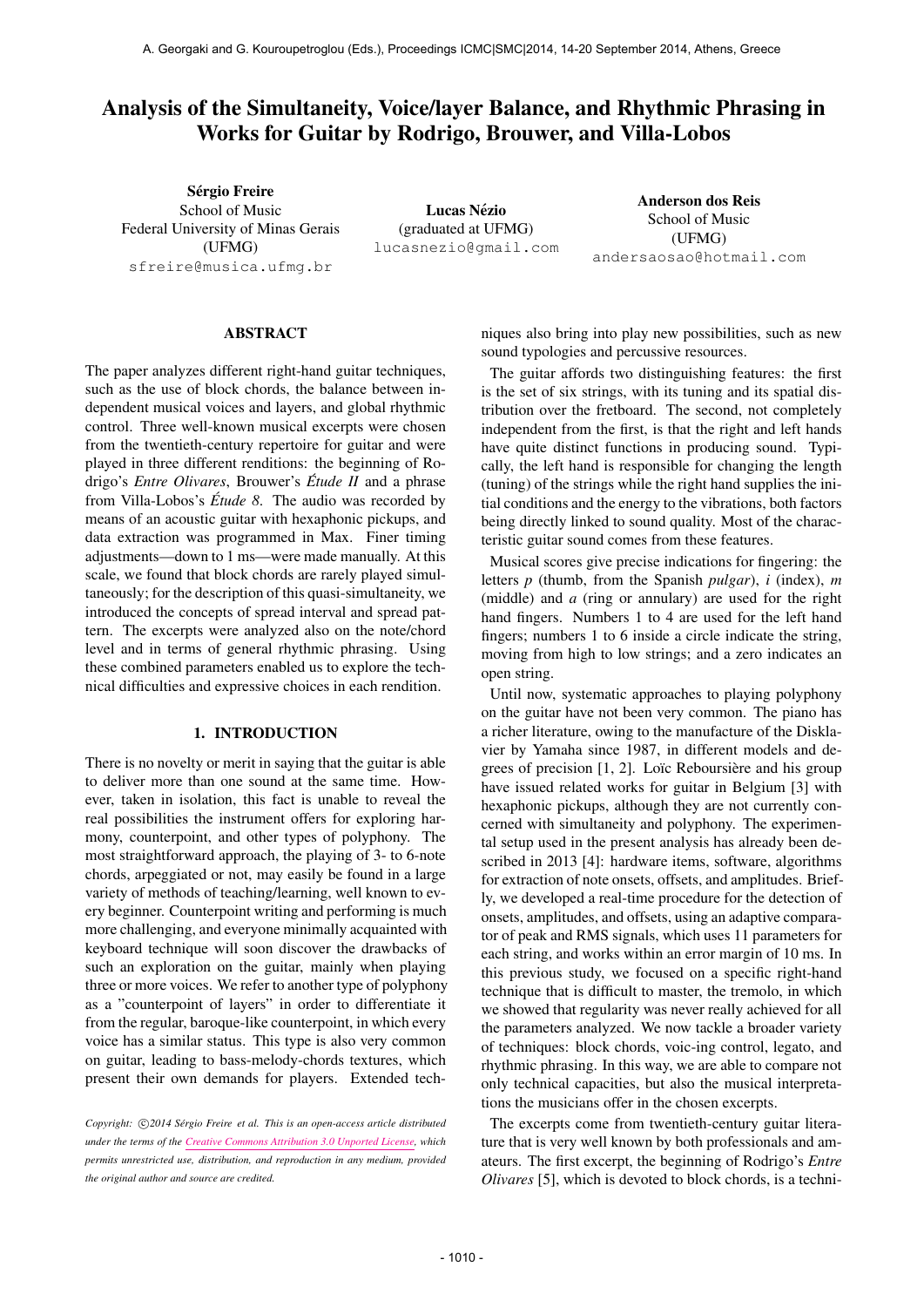# Analysis of the Simultaneity, Voice/layer Balance, and Rhythmic Phrasing in Works for Guitar by Rodrigo, Brouwer, and Villa-Lobos

Sérgio Freire School of Music Federal University of Minas Gerais (UFMG) [sfreire@musica.ufmg.br](mailto:sfreire@musica.ufmg.br)

Lucas Nézio (graduated at UFMG) [lucasnezio@gmail.com](mailto:lucasnezio@gmail.com)

Anderson dos Reis School of Music (UFMG) [andersaosao@hotmail.com](mailto:andersaosao@hotmail.com)

# ABSTRACT

The paper analyzes different right-hand guitar techniques, such as the use of block chords, the balance between independent musical voices and layers, and global rhythmic control. Three well-known musical excerpts were chosen from the twentieth-century repertoire for guitar and were played in three different renditions: the beginning of Rodrigo's *Entre Olivares*, Brouwer's *Étude II* and a phrase from Villa-Lobos's *Etude 8 ´* . The audio was recorded by means of an acoustic guitar with hexaphonic pickups, and data extraction was programmed in Max. Finer timing adjustments—down to 1 ms—were made manually. At this scale, we found that block chords are rarely played simultaneously; for the description of this quasi-simultaneity, we introduced the concepts of spread interval and spread pattern. The excerpts were analyzed also on the note/chord level and in terms of general rhythmic phrasing. Using these combined parameters enabled us to explore the technical difficulties and expressive choices in each rendition.

## 1. INTRODUCTION

There is no novelty or merit in saying that the guitar is able to deliver more than one sound at the same time. However, taken in isolation, this fact is unable to reveal the real possibilities the instrument offers for exploring harmony, counterpoint, and other types of polyphony. The most straightforward approach, the playing of 3- to 6-note chords, arpeggiated or not, may easily be found in a large variety of methods of teaching/learning, well known to every beginner. Counterpoint writing and performing is much more challenging, and everyone minimally acquainted with keyboard technique will soon discover the drawbacks of such an exploration on the guitar, mainly when playing three or more voices. We refer to another type of polyphony as a "counterpoint of layers" in order to differentiate it from the regular, baroque-like counterpoint, in which every voice has a similar status. This type is also very common on guitar, leading to bass-melody-chords textures, which present their own demands for players. Extended techniques also bring into play new possibilities, such as new sound typologies and percussive resources.

The guitar affords two distinguishing features: the first is the set of six strings, with its tuning and its spatial distribution over the fretboard. The second, not completely independent from the first, is that the right and left hands have quite distinct functions in producing sound. Typically, the left hand is responsible for changing the length (tuning) of the strings while the right hand supplies the initial conditions and the energy to the vibrations, both factors being directly linked to sound quality. Most of the characteristic guitar sound comes from these features.

Musical scores give precise indications for fingering: the letters *p* (thumb, from the Spanish *pulgar*), *i* (index), *m* (middle) and *a* (ring or annulary) are used for the right hand fingers. Numbers 1 to 4 are used for the left hand fingers; numbers 1 to 6 inside a circle indicate the string, moving from high to low strings; and a zero indicates an open string.

Until now, systematic approaches to playing polyphony on the guitar have not been very common. The piano has a richer literature, owing to the manufacture of the Disklavier by Yamaha since 1987, in different models and degrees of precision  $[1, 2]$ . Loïc Reboursière and his group have issued related works for guitar in Belgium [3] with hexaphonic pickups, although they are not currently concerned with simultaneity and polyphony. The experimental setup used in the present analysis has already been described in 2013 [4]: hardware items, software, algorithms for extraction of note onsets, offsets, and amplitudes. Briefly, we developed a real-time procedure for the detection of onsets, amplitudes, and offsets, using an adaptive comparator of peak and RMS signals, which uses 11 parameters for each string, and works within an error margin of 10 ms. In this previous study, we focused on a specific right-hand technique that is difficult to master, the tremolo, in which we showed that regularity was never really achieved for all the parameters analyzed. We now tackle a broader variety of techniques: block chords, voic-ing control, legato, and rhythmic phrasing. In this way, we are able to compare not only technical capacities, but also the musical interpretations the musicians offer in the chosen excerpts.

The excerpts come from twentieth-century guitar literature that is very well known by both professionals and amateurs. The first excerpt, the beginning of Rodrigo's *Entre Olivares* [5], which is devoted to block chords, is a techni-

Copyright:  $\bigcirc$ 2014 Sérgio Freire et al. This is an open-access article distributed *under the terms of the [Creative Commons Attribution 3.0 Unported License,](http://creativecommons.org/licenses/by/3.0/) which permits unrestricted use, distribution, and reproduction in any medium, provided the original author and source are credited.*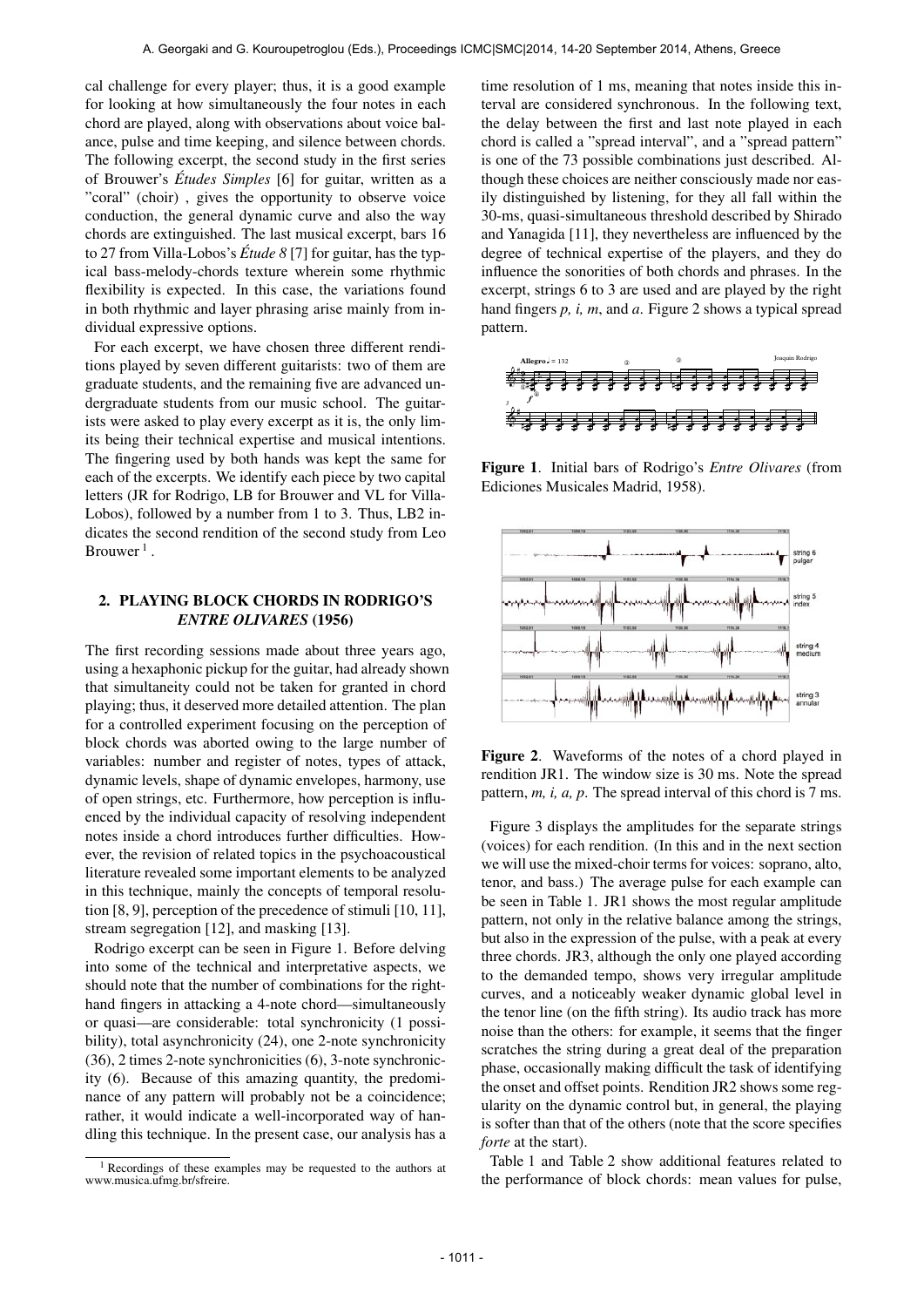cal challenge for every player; thus, it is a good example for looking at how simultaneously the four notes in each chord are played, along with observations about voice balance, pulse and time keeping, and silence between chords. The following excerpt, the second study in the first series of Brouwer's *Études Simples* [6] for guitar, written as a "coral" (choir) , gives the opportunity to observe voice conduction, the general dynamic curve and also the way chords are extinguished. The last musical excerpt, bars 16 to 27 from Villa-Lobos's  $\acute{E}tude$  8 [7] for guitar, has the typical bass-melody-chords texture wherein some rhythmic flexibility is expected. In this case, the variations found in both rhythmic and layer phrasing arise mainly from individual expressive options.

For each excerpt, we have chosen three different renditions played by seven different guitarists: two of them are graduate students, and the remaining five are advanced undergraduate students from our music school. The guitarists were asked to play every excerpt as it is, the only limits being their technical expertise and musical intentions. The fingering used by both hands was kept the same for each of the excerpts. We identify each piece by two capital letters (JR for Rodrigo, LB for Brouwer and VL for Villa-Lobos), followed by a number from 1 to 3. Thus, LB2 indicates the second rendition of the second study from Leo Brouwer<sup>1</sup>.

# 2. PLAYING BLOCK CHORDS IN RODRIGO'S *ENTRE OLIVARES* (1956)

The first recording sessions made about three years ago, using a hexaphonic pickup for the guitar, had already shown that simultaneity could not be taken for granted in chord playing; thus, it deserved more detailed attention. The plan for a controlled experiment focusing on the perception of block chords was aborted owing to the large number of variables: number and register of notes, types of attack, dynamic levels, shape of dynamic envelopes, harmony, use of open strings, etc. Furthermore, how perception is influenced by the individual capacity of resolving independent notes inside a chord introduces further difficulties. However, the revision of related topics in the psychoacoustical literature revealed some important elements to be analyzed in this technique, mainly the concepts of temporal resolution [8, 9], perception of the precedence of stimuli [10, 11], stream segregation [12], and masking [13].

Rodrigo excerpt can be seen in Figure 1. Before delving into some of the technical and interpretative aspects, we should note that the number of combinations for the righthand fingers in attacking a 4-note chord—simultaneously or quasi—are considerable: total synchronicity (1 possibility), total asynchronicity (24), one 2-note synchronicity (36), 2 times 2-note synchronicities (6), 3-note synchronicity (6). Because of this amazing quantity, the predominance of any pattern will probably not be a coincidence; rather, it would indicate a well-incorporated way of handling this technique. In the present case, our analysis has a time resolution of 1 ms, meaning that notes inside this interval are considered synchronous. In the following text, the delay between the first and last note played in each chord is called a "spread interval", and a "spread pattern" is one of the 73 possible combinations just described. Although these choices are neither consciously made nor easily distinguished by listening, for they all fall within the 30-ms, quasi-simultaneous threshold described by Shirado and Yanagida [11], they nevertheless are influenced by the degree of technical expertise of the players, and they do influence the sonorities of both chords and phrases. In the excerpt, strings 6 to 3 are used and are played by the right hand fingers *p, i, m*, and *a*. Figure 2 shows a typical spread pattern.



Figure 1. Initial bars of Rodrigo's *Entre Olivares* (from Ediciones Musicales Madrid, 1958).



Figure 2. Waveforms of the notes of a chord played in rendition JR1. The window size is 30 ms. Note the spread pattern, *m, i, a, p*. The spread interval of this chord is 7 ms.

Figure 3 displays the amplitudes for the separate strings (voices) for each rendition. (In this and in the next section we will use the mixed-choir terms for voices: soprano, alto, tenor, and bass.) The average pulse for each example can be seen in Table 1. JR1 shows the most regular amplitude pattern, not only in the relative balance among the strings, but also in the expression of the pulse, with a peak at every three chords. JR3, although the only one played according to the demanded tempo, shows very irregular amplitude curves, and a noticeably weaker dynamic global level in the tenor line (on the fifth string). Its audio track has more noise than the others: for example, it seems that the finger scratches the string during a great deal of the preparation phase, occasionally making difficult the task of identifying the onset and offset points. Rendition JR2 shows some regularity on the dynamic control but, in general, the playing is softer than that of the others (note that the score specifies *forte* at the start).

Table 1 and Table 2 show additional features related to the performance of block chords: mean values for pulse,

<sup>1</sup> Recordings of these examples may be requested to the authors at www.musica.ufmg.br/sfreire.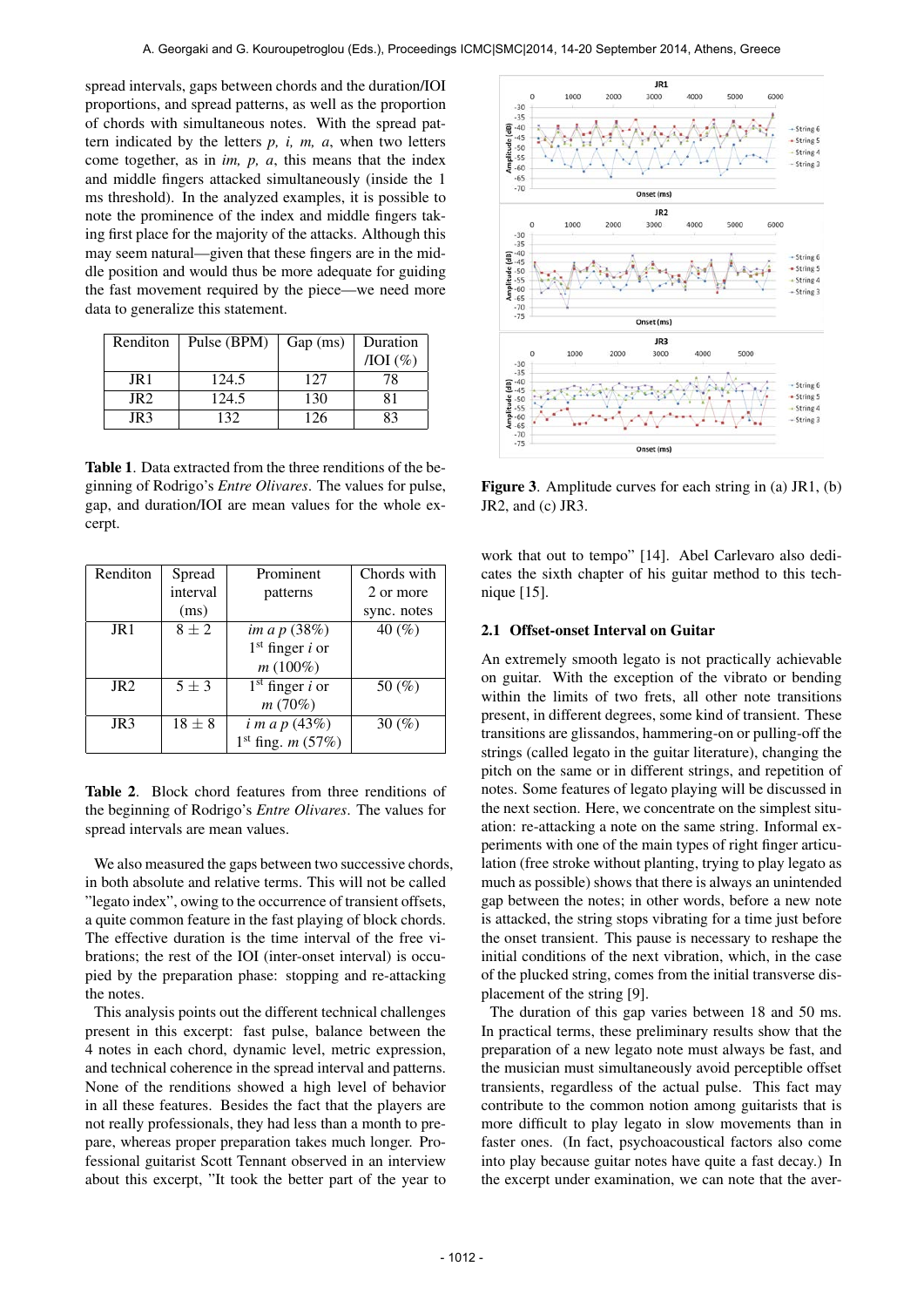spread intervals, gaps between chords and the duration/IOI proportions, and spread patterns, as well as the proportion of chords with simultaneous notes. With the spread pattern indicated by the letters *p, i, m, a*, when two letters come together, as in *im, p, a*, this means that the index and middle fingers attacked simultaneously (inside the 1 ms threshold). In the analyzed examples, it is possible to note the prominence of the index and middle fingers taking first place for the majority of the attacks. Although this may seem natural—given that these fingers are in the middle position and would thus be more adequate for guiding the fast movement required by the piece—we need more data to generalize this statement.

| Renditon        | Pulse (BPM) | Gap(ms) | Duration         |
|-----------------|-------------|---------|------------------|
|                 |             |         | $\text{IOI}(\%)$ |
| JR1             | 124.5       | 127     | 78               |
| JR <sub>2</sub> | 124.5       | 130     | 81               |
| JR <sub>3</sub> | 132         | 126     | 83               |

Table 1. Data extracted from the three renditions of the beginning of Rodrigo's *Entre Olivares*. The values for pulse, gap, and duration/IOI are mean values for the whole excerpt.

| Renditon        | Spread     | Prominent                    | Chords with |
|-----------------|------------|------------------------------|-------------|
|                 | interval   | patterns                     | 2 or more   |
|                 | (ms)       |                              | sync. notes |
| JR <sub>1</sub> | $8\pm2$    | im a p (38%)                 | 40 $(%$     |
|                 |            | $1st$ finger <i>i</i> or     |             |
|                 |            | $m(100\%)$                   |             |
| JR <sub>2</sub> | $5\pm3$    | $1st$ finger <i>i</i> or     | 50 $(\% )$  |
|                 |            | m(70%)                       |             |
| JR <sub>3</sub> | $18 \pm 8$ | $i \, m \, a \, p \, (43\%)$ | 30 $(\% )$  |
|                 |            | $1st$ fing. <i>m</i> (57%)   |             |

Table 2. Block chord features from three renditions of the beginning of Rodrigo's *Entre Olivares*. The values for spread intervals are mean values.

We also measured the gaps between two successive chords, in both absolute and relative terms. This will not be called "legato index", owing to the occurrence of transient offsets, a quite common feature in the fast playing of block chords. The effective duration is the time interval of the free vibrations; the rest of the IOI (inter-onset interval) is occupied by the preparation phase: stopping and re-attacking the notes.

This analysis points out the different technical challenges present in this excerpt: fast pulse, balance between the 4 notes in each chord, dynamic level, metric expression, and technical coherence in the spread interval and patterns. None of the renditions showed a high level of behavior in all these features. Besides the fact that the players are not really professionals, they had less than a month to prepare, whereas proper preparation takes much longer. Professional guitarist Scott Tennant observed in an interview about this excerpt, "It took the better part of the year to



Figure 3. Amplitude curves for each string in (a) JR1, (b) JR2, and (c) JR3.

work that out to tempo" [14]. Abel Carlevaro also dedicates the sixth chapter of his guitar method to this technique [15].

### 2.1 Offset-onset Interval on Guitar

An extremely smooth legato is not practically achievable on guitar. With the exception of the vibrato or bending within the limits of two frets, all other note transitions present, in different degrees, some kind of transient. These transitions are glissandos, hammering-on or pulling-off the strings (called legato in the guitar literature), changing the pitch on the same or in different strings, and repetition of notes. Some features of legato playing will be discussed in the next section. Here, we concentrate on the simplest situation: re-attacking a note on the same string. Informal experiments with one of the main types of right finger articulation (free stroke without planting, trying to play legato as much as possible) shows that there is always an unintended gap between the notes; in other words, before a new note is attacked, the string stops vibrating for a time just before the onset transient. This pause is necessary to reshape the initial conditions of the next vibration, which, in the case of the plucked string, comes from the initial transverse displacement of the string [9].

The duration of this gap varies between 18 and 50 ms. In practical terms, these preliminary results show that the preparation of a new legato note must always be fast, and the musician must simultaneously avoid perceptible offset transients, regardless of the actual pulse. This fact may contribute to the common notion among guitarists that is more difficult to play legato in slow movements than in faster ones. (In fact, psychoacoustical factors also come into play because guitar notes have quite a fast decay.) In the excerpt under examination, we can note that the aver-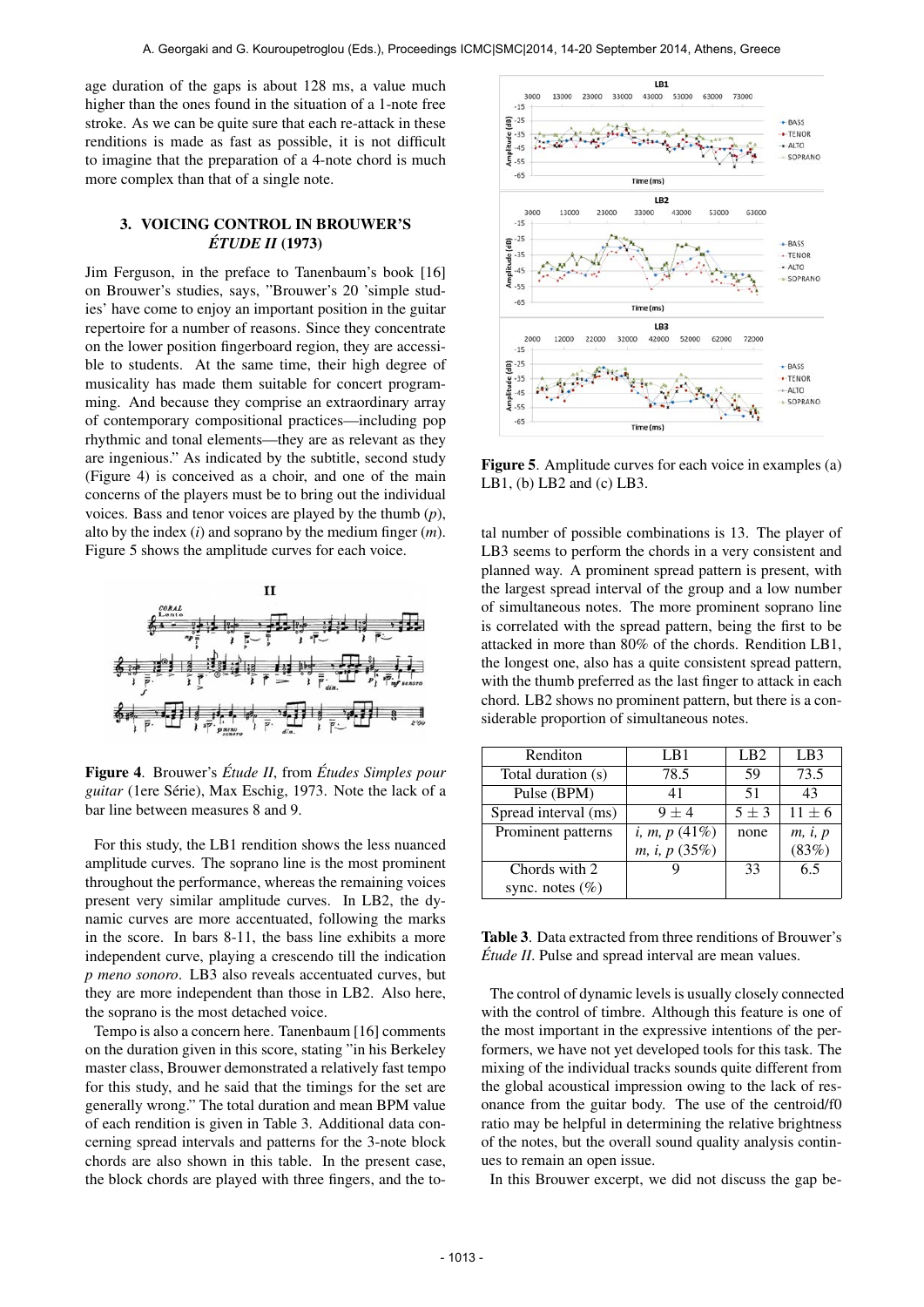age duration of the gaps is about 128 ms, a value much higher than the ones found in the situation of a 1-note free stroke. As we can be quite sure that each re-attack in these renditions is made as fast as possible, it is not difficult to imagine that the preparation of a 4-note chord is much more complex than that of a single note.

## 3. VOICING CONTROL IN BROUWER'S *ETUDE II ´* (1973)

Jim Ferguson, in the preface to Tanenbaum's book [16] on Brouwer's studies, says, "Brouwer's 20 'simple studies' have come to enjoy an important position in the guitar repertoire for a number of reasons. Since they concentrate on the lower position fingerboard region, they are accessible to students. At the same time, their high degree of musicality has made them suitable for concert programming. And because they comprise an extraordinary array of contemporary compositional practices—including pop rhythmic and tonal elements—they are as relevant as they are ingenious." As indicated by the subtitle, second study (Figure 4) is conceived as a choir, and one of the main concerns of the players must be to bring out the individual voices. Bass and tenor voices are played by the thumb (*p*), alto by the index (*i*) and soprano by the medium finger (*m*). Figure 5 shows the amplitude curves for each voice.



Figure 4. Brouwer's *Étude II*, from *Études Simples pour guitar* (1ere Série), Max Eschig, 1973. Note the lack of a bar line between measures 8 and 9.

For this study, the LB1 rendition shows the less nuanced amplitude curves. The soprano line is the most prominent throughout the performance, whereas the remaining voices present very similar amplitude curves. In LB2, the dynamic curves are more accentuated, following the marks in the score. In bars 8-11, the bass line exhibits a more independent curve, playing a crescendo till the indication *p meno sonoro*. LB3 also reveals accentuated curves, but they are more independent than those in LB2. Also here, the soprano is the most detached voice.

Tempo is also a concern here. Tanenbaum [16] comments on the duration given in this score, stating "in his Berkeley master class, Brouwer demonstrated a relatively fast tempo for this study, and he said that the timings for the set are generally wrong." The total duration and mean BPM value of each rendition is given in Table 3. Additional data concerning spread intervals and patterns for the 3-note block chords are also shown in this table. In the present case, the block chords are played with three fingers, and the to-



Figure 5. Amplitude curves for each voice in examples (a) LB1, (b) LB2 and (c) LB3.

tal number of possible combinations is 13. The player of LB3 seems to perform the chords in a very consistent and planned way. A prominent spread pattern is present, with the largest spread interval of the group and a low number of simultaneous notes. The more prominent soprano line is correlated with the spread pattern, being the first to be attacked in more than 80% of the chords. Rendition LB1, the longest one, also has a quite consistent spread pattern, with the thumb preferred as the last finger to attack in each chord. LB2 shows no prominent pattern, but there is a considerable proportion of simultaneous notes.

| Renditon             | LB1                             | LB <sub>2</sub> | LB <sub>3</sub> |
|----------------------|---------------------------------|-----------------|-----------------|
| Total duration (s)   | 78.5                            | 59              | 73.5            |
| Pulse (BPM)          | 41                              | 51              | 43              |
| Spread interval (ms) | $9+4$                           | $5\pm3$         | $11 \pm 6$      |
| Prominent patterns   | <i>i</i> , <i>m</i> , $p(41\%)$ | none            | m, i, p         |
|                      | m, i, p (35%)                   |                 | (83%)           |
| Chords with 2        |                                 | 33              | 6.5             |
| sync. notes $(\% )$  |                                 |                 |                 |

Table 3. Data extracted from three renditions of Brouwer's *Étude II*. Pulse and spread interval are mean values.

The control of dynamic levels is usually closely connected with the control of timbre. Although this feature is one of the most important in the expressive intentions of the performers, we have not yet developed tools for this task. The mixing of the individual tracks sounds quite different from the global acoustical impression owing to the lack of resonance from the guitar body. The use of the centroid/f0 ratio may be helpful in determining the relative brightness of the notes, but the overall sound quality analysis continues to remain an open issue.

In this Brouwer excerpt, we did not discuss the gap be-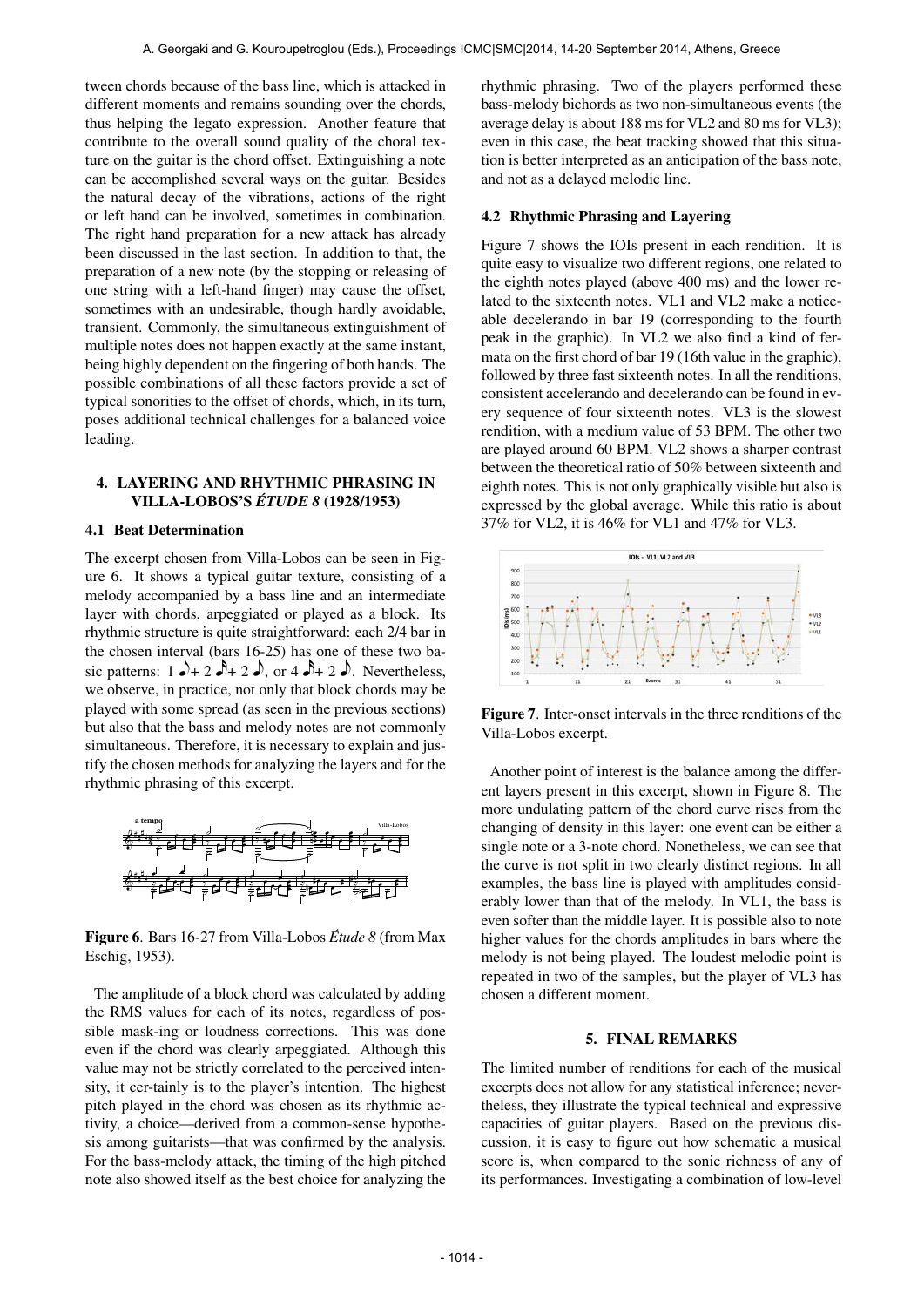tween chords because of the bass line, which is attacked in different moments and remains sounding over the chords, thus helping the legato expression. Another feature that contribute to the overall sound quality of the choral texture on the guitar is the chord offset. Extinguishing a note can be accomplished several ways on the guitar. Besides the natural decay of the vibrations, actions of the right or left hand can be involved, sometimes in combination. The right hand preparation for a new attack has already been discussed in the last section. In addition to that, the preparation of a new note (by the stopping or releasing of one string with a left-hand finger) may cause the offset, sometimes with an undesirable, though hardly avoidable, transient. Commonly, the simultaneous extinguishment of multiple notes does not happen exactly at the same instant, being highly dependent on the fingering of both hands. The possible combinations of all these factors provide a set of typical sonorities to the offset of chords, which, in its turn, poses additional technical challenges for a balanced voice leading.

# 4. LAYERING AND RHYTHMIC PHRASING IN VILLA-LOBOS'S *ETUDE 8 ´* (1928/1953)

### 4.1 Beat Determination

The excerpt chosen from Villa-Lobos can be seen in Figure 6. It shows a typical guitar texture, consisting of a melody accompanied by a bass line and an intermediate layer with chords, arpeggiated or played as a block. Its rhythmic structure is quite straightforward: each 2/4 bar in the chosen interval (bars 16-25) has one of these two basic patterns:  $1 \rightarrow 2 \rightarrow 2 \rightarrow$ , or  $4 \rightarrow 2 \rightarrow$ . Nevertheless, we observe, in practice, not only that block chords may be played with some spread (as seen in the previous sections) but also that the bass and melody notes are not commonly simultaneous. Therefore, it is necessary to explain and justify the chosen methods for analyzing the layers and for the rhythmic phrasing of this excerpt.



Figure 6. Bars 16-27 from Villa-Lobos *Étude 8* (from Max Eschig, 1953).

The amplitude of a block chord was calculated by adding the RMS values for each of its notes, regardless of possible mask-ing or loudness corrections. This was done even if the chord was clearly arpeggiated. Although this value may not be strictly correlated to the perceived intensity, it cer-tainly is to the player's intention. The highest pitch played in the chord was chosen as its rhythmic activity, a choice—derived from a common-sense hypothesis among guitarists—that was confirmed by the analysis. For the bass-melody attack, the timing of the high pitched note also showed itself as the best choice for analyzing the

rhythmic phrasing. Two of the players performed these bass-melody bichords as two non-simultaneous events (the average delay is about 188 ms for VL2 and 80 ms for VL3); even in this case, the beat tracking showed that this situation is better interpreted as an anticipation of the bass note, and not as a delayed melodic line.

## 4.2 Rhythmic Phrasing and Layering

Figure 7 shows the IOIs present in each rendition. It is quite easy to visualize two different regions, one related to the eighth notes played (above 400 ms) and the lower related to the sixteenth notes. VL1 and VL2 make a noticeable decelerando in bar 19 (corresponding to the fourth peak in the graphic). In VL2 we also find a kind of fermata on the first chord of bar 19 (16th value in the graphic), followed by three fast sixteenth notes. In all the renditions, consistent accelerando and decelerando can be found in every sequence of four sixteenth notes. VL3 is the slowest rendition, with a medium value of 53 BPM. The other two are played around 60 BPM. VL2 shows a sharper contrast between the theoretical ratio of 50% between sixteenth and eighth notes. This is not only graphically visible but also is expressed by the global average. While this ratio is about 37% for VL2, it is 46% for VL1 and 47% for VL3.



Figure 7. Inter-onset intervals in the three renditions of the Villa-Lobos excerpt.

Another point of interest is the balance among the different layers present in this excerpt, shown in Figure 8. The more undulating pattern of the chord curve rises from the changing of density in this layer: one event can be either a single note or a 3-note chord. Nonetheless, we can see that the curve is not split in two clearly distinct regions. In all examples, the bass line is played with amplitudes considerably lower than that of the melody. In VL1, the bass is even softer than the middle layer. It is possible also to note higher values for the chords amplitudes in bars where the melody is not being played. The loudest melodic point is repeated in two of the samples, but the player of VL3 has chosen a different moment.

#### 5. FINAL REMARKS

The limited number of renditions for each of the musical excerpts does not allow for any statistical inference; nevertheless, they illustrate the typical technical and expressive capacities of guitar players. Based on the previous discussion, it is easy to figure out how schematic a musical score is, when compared to the sonic richness of any of its performances. Investigating a combination of low-level